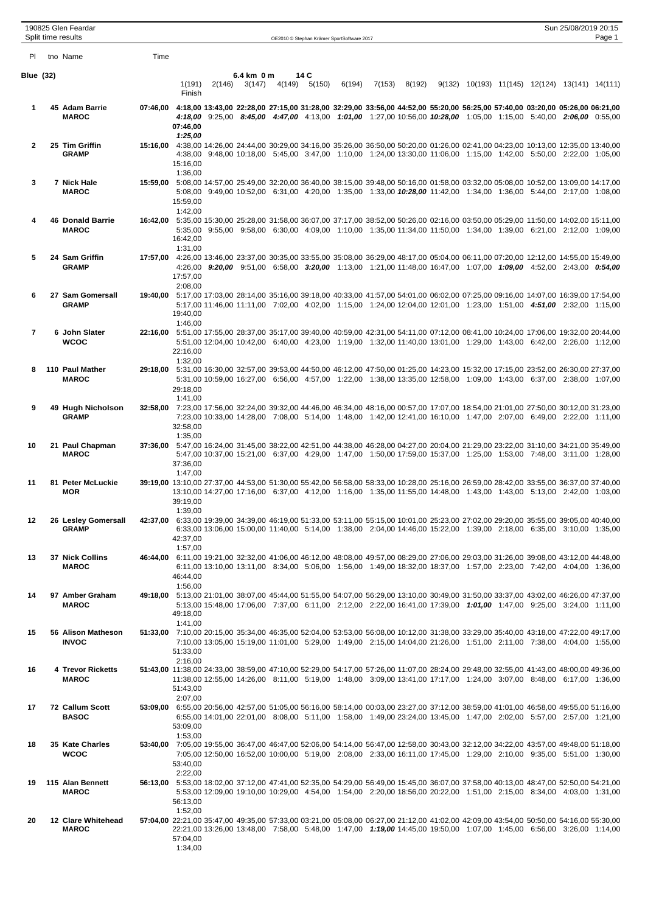|                | 190825 Glen Feardar<br>Split time results |      |                     |        |                      |                       | OE2010 © Stephan Krämer SportSoftware 2017                                                                                                                                                                                                                     |        |        |                                                |  | Sun 25/08/2019 20:15 | Page 1 |
|----------------|-------------------------------------------|------|---------------------|--------|----------------------|-----------------------|----------------------------------------------------------------------------------------------------------------------------------------------------------------------------------------------------------------------------------------------------------------|--------|--------|------------------------------------------------|--|----------------------|--------|
| PI.            | tno Name                                  | Time |                     |        |                      |                       |                                                                                                                                                                                                                                                                |        |        |                                                |  |                      |        |
| Blue (32)      |                                           |      | 1(191)<br>Finish    | 2(146) | 6.4 km 0 m<br>3(147) | 14 C<br>4(149) 5(150) | 6(194)                                                                                                                                                                                                                                                         | 7(153) | 8(192) | 9(132) 10(193) 11(145) 12(124) 13(141) 14(111) |  |                      |        |
| 1              | 45 Adam Barrie<br><b>MAROC</b>            |      | 07:46,00<br>1:25,00 |        |                      |                       | 07:46,00 4:18,00 13:43,00 22:28,00 27:15,00 31:28,00 32:29,00 33:56,00 44:52,00 55:20,00 56:25,00 57:40,00 03:20,00 05:26,00 06:21,00<br>4:18,00 9:25,00 8:45,00 4:47,00 4:13,00 1:01,00 1:27,00 10:56,00 10:28,00 1:05,00 1:15,00 5:40,00 2:06,00 0:55,00     |        |        |                                                |  |                      |        |
| 2              | 25 Tim Griffin<br><b>GRAMP</b>            |      | 15:16.00<br>1:36,00 |        |                      |                       | 15:16,00 4:38,00 14:26,00 24:44,00 30:29,00 34:16,00 35:26,00 36:50,00 50:20,00 01:26,00 02:41,00 04:23,00 10:13,00 12:35,00 13:40,00<br>4:38,00 9:48,00 10:18,00 5:45,00 3:47,00 1:10,00 1:24,00 13:30,00 11:06,00 1:15,00 1:42,00 5:50,00 2:22,00 1:05,00    |        |        |                                                |  |                      |        |
| 3              | 7 Nick Hale<br><b>MAROC</b>               |      | 15:59,00<br>1:42,00 |        |                      |                       | 15:59,00 5:08,00 14:57,00 25:49,00 32:20,00 36:40,00 38:15,00 39:48,00 50:16,00 01:58,00 03:32,00 05:08,00 10:52,00 13:09,00 14:17,00<br>5:08,00 9:49,00 10:52,00 6:31,00 4:20,00 1:35,00 1:33,00 10:28,00 11:42,00 1:34,00 1:36,00 5:44,00 2:17,00 1:08,00    |        |        |                                                |  |                      |        |
|                | <b>46 Donald Barrie</b><br><b>MAROC</b>   |      | 16:42,00<br>1:31,00 |        |                      |                       | 16:42,00 5:35,00 15:30,00 25:28,00 31:58,00 36:07,00 37:17,00 38:52,00 50:26,00 02:16,00 03:50,00 05:29,00 11:50,00 14:02,00 15:11,00<br>5:35,00 9:55,00 9:58,00 6:30,00 4:09,00 1:10,00 1:35,00 11:34,00 11:50,00 1:34,00 1:39,00 6:21,00 2:12,00 1:09,00     |        |        |                                                |  |                      |        |
| 5              | 24 Sam Griffin<br><b>GRAMP</b>            |      | 17:57,00<br>2:08,00 |        |                      |                       | 17:57,00 4:26,00 13:46,00 23:37,00 30:35,00 33:55,00 35:08,00 36:29,00 48:17,00 05:04,00 06:11,00 07:20,00 12:12,00 14:55,00 15:49,00<br>4:26,00 9:20,00 9:51,00 6:58,00 3:20,00 1:13,00 1:21,00 11:48,00 16:47,00 1:07,00 1:09,00 4:52,00 2:43,00 0:54,00     |        |        |                                                |  |                      |        |
| 6              | 27 Sam Gomersall<br><b>GRAMP</b>          |      | 19:40,00<br>1:46,00 |        |                      |                       | 19:40,00 5:17,00 17:03,00 28:14,00 35:16,00 39:18,00 40:33,00 41:57,00 54:01,00 06:02,00 07:25,00 09:16,00 14:07,00 16:39,00 17:54,00<br>5:17.00 11:46.00 11:11.00 7:02.00 4:02.00 1:15.00 1:24.00 12:04.00 12:01.00 1:23.00 1:51.00 4:51.00 2:32.00 1:15.00   |        |        |                                                |  |                      |        |
| $\overline{7}$ | 6 John Slater<br><b>WCOC</b>              |      | 22:16,00<br>1:32,00 |        |                      |                       | 22:16,00 5:51,00 17:55,00 28:37,00 35:17,00 39:40,00 40:59,00 42:31,00 54:11,00 07:12,00 08:41,00 10:24,00 17:06,00 19:32,00 20:44,00<br>5:51,00 12:04,00 10:42,00 6:40,00 4:23,00 1:19,00 1:32,00 11:40,00 13:01,00 1:29,00 1:43,00 6:42,00 2:26,00 1:12,00   |        |        |                                                |  |                      |        |
| 8              | 110 Paul Mather<br><b>MAROC</b>           |      | 29:18,00<br>1:41,00 |        |                      |                       | 29:18,00 5:31,00 16:30,00 32:57,00 39:53,00 44:50,00 46:12,00 47:50,00 01:25,00 14:23,00 15:32,00 17:15,00 23:52,00 26:30,00 27:37,00<br>5:31,00 10:59,00 16:27,00 6:56,00 4:57,00 1:22,00 1:38,00 13:35,00 12:58,00 1:09,00 1:43,00 6:37,00 2:38,00 1:07,00   |        |        |                                                |  |                      |        |
| 9              | 49 Hugh Nicholson<br><b>GRAMP</b>         |      | 32:58,00<br>1:35,00 |        |                      |                       | 32:58,00 7:23,00 17:56,00 32:24,00 39:32,00 44:46,00 46:34,00 48:16,00 00:57,00 17:07,00 18:54,00 21:01,00 27:50,00 30:12,00 31:23,00<br>7:23,00 10:33,00 14:28,00 7:08,00 5:14,00 1:48,00 1:42,00 12:41,00 16:10,00 1:47,00 2:07,00 6:49,00 2:22,00 1:11,00   |        |        |                                                |  |                      |        |
| 10             | 21 Paul Chapman<br><b>MAROC</b>           |      | 37:36,00<br>1:47,00 |        |                      |                       | 37:36,00 5:47,00 16:24,00 31:45,00 38:22,00 42:51,00 44:38,00 46:28,00 04:27,00 20:04,00 21:29,00 23:22,00 31:10,00 34:21,00 35:49,00<br>5:47,00 10:37,00 15:21,00 6:37,00 4:29,00 1:47,00 1:50,00 17:59,00 15:37,00 1:25,00 1:53,00 7:48,00 3:11,00 1:28,00   |        |        |                                                |  |                      |        |
| 11             | 81 Peter McLuckie<br><b>MOR</b>           |      | 39:19,00<br>1:39.00 |        |                      |                       | 39:19,00 13:10,00 27:37,00 44:53,00 51:30,00 55:42,00 56:58,00 58:33,00 10:28,00 25:16,00 26:59,00 28:42,00 33:55,00 36:37,00 37:40,00<br>13:10,00 14:27,00 17:16,00 6:37,00 4:12,00 1:16,00 1:35,00 11:55,00 14:48,00 1:43,00 1:43,00 5:13,00 2:42,00 1:03,00 |        |        |                                                |  |                      |        |
| 12             | 26 Lesley Gomersall<br><b>GRAMP</b>       |      | 42:37,00<br>1:57,00 |        |                      |                       | 42:37,00 6:33,00 19:39,00 34:39,00 46:19,00 51:33,00 53:11,00 55:15,00 10:01,00 25:23,00 27:02,00 29:20,00 35:55,00 39:05,00 40:40,00<br>6:33,00 13:06,00 15:00,00 11:40,00 5:14,00 1:38,00 2:04,00 14:46,00 15:22,00 1:39,00 2:18,00 6:35,00 3:10,00 1:35,00  |        |        |                                                |  |                      |        |
| 13             | 37 Nick Collins<br><b>MAROC</b>           |      | 46:44,00<br>1:56,00 |        |                      |                       | 44:48,00 6:11,00 19:21,00 32:32,00 41:06,00 46:12,00 48:08,00 49:57,00 08:29,00 27:06,00 29:03,00 31:26,00 39:08,00 43:12,00 44:48,00<br>6:11,00 13:10,00 13:11,00 8:34,00 5:06,00 1:56,00 1:49,00 18:32,00 18:37,00 1:57,00 2:23,00 7:42,00 4:04,00 1:36,00   |        |        |                                                |  |                      |        |
| 14             | 97 Amber Graham<br><b>MAROC</b>           |      | 49:18,00<br>1:41,00 |        |                      |                       | 49:18,00 5:13,00 21:01,00 38:07,00 45:44,00 51:55,00 54:07,00 56:29,00 13:10,00 30:49,00 31:50,00 33:37,00 43:02,00 46:26,00 47:37,00<br>5:13,00 15:48,00 17:06,00 7:37,00 6:11,00 2:12,00 2:22,00 16:41,00 17:39,00 1:01,00 1:47,00 9:25,00 3:24,00 1:11,00   |        |        |                                                |  |                      |        |
| 15             | 56 Alison Matheson<br><b>INVOC</b>        |      | 51:33,00<br>2:16,00 |        |                      |                       | 51:33,00 7:10,00 20:15,00 35:34,00 46:35,00 52:04,00 53:53,00 56:08,00 10:12,00 31:38,00 33:29,00 35:40,00 43:18,00 47:22,00 49:17,00<br>7:10,00 13:05,00 15:19,00 11:01,00 5:29,00 1:49,00 2:15,00 14:04,00 21:26,00 1:51,00 2:11,00 7:38,00 4:04,00 1:55,00  |        |        |                                                |  |                      |        |
| 16             | 4 Trevor Ricketts<br><b>MAROC</b>         |      | 51:43,00<br>2:07,00 |        |                      |                       | 51:43,00 11:38,00 24:33,00 38:59,00 47:10,00 52:29,00 54:17,00 57:26,00 11:07,00 28:24,00 29:48,00 32:55,00 41:43,00 48:00,00 49:36,00<br>11:38,00 12:55,00 14:26,00 8:11,00 5:19,00 1:48,00 3:09,00 13:41,00 17:17,00 1:24,00 3:07,00 8:48,00 6:17,00 1:36,00 |        |        |                                                |  |                      |        |
| 17             | 72 Callum Scott<br><b>BASOC</b>           |      | 53:09,00<br>1:53,00 |        |                      |                       | 53:09,00 6:55,00 20:56,00 42:57,00 51:05,00 56:16,00 58:14,00 00:03,00 23:27,00 37:12,00 38:59,00 41:01,00 46:58,00 49:55,00 51:16,00<br>6:55,00 14:01,00 22:01,00 8:08,00 5:11,00 1:58,00 1:49,00 23:24,00 13:45,00 1:47,00 2:02,00 5:57,00 2:57,00 1:21,00   |        |        |                                                |  |                      |        |
| 18             | 35 Kate Charles<br><b>WCOC</b>            |      | 53:40,00<br>2:22,00 |        |                      |                       | 53:40,00 7:05,00 19:55,00 36:47,00 46:47,00 52:06,00 54:14,00 56:47,00 12:58,00 30:43,00 32:12,00 34:22,00 43:57,00 49:48,00 51:18,00<br>7:05,00 12:50,00 16:52,00 10:00,00 5:19,00 2:08,00 2:33,00 16:11,00 17:45,00 1:29,00 2:10,00 9:35,00 5:51,00 1:30,00  |        |        |                                                |  |                      |        |
| 19             | 115 Alan Bennett<br><b>MAROC</b>          |      | 56:13,00<br>1:52,00 |        |                      |                       | 56:13,00 5:53,00 18:02,00 37:12,00 47:41,00 52:35,00 54:29,00 56:49,00 15:45,00 36:07,00 37:58,00 40:13,00 48:47,00 52:50,00 54:21,00<br>5:53,00 12:09,00 19:10,00 10:29,00 4:54,00 1:54,00 2:20,00 18:56,00 20:22,00 1:51,00 2:15,00 8:34,00 4:03,00 1:31,00  |        |        |                                                |  |                      |        |
| 20             | 12 Clare Whitehead<br><b>MAROC</b>        |      | 57:04,00<br>1:34,00 |        |                      |                       | 57:04,00 22:21,00 35:47,00 49:35,00 57:33,00 03:21,00 05:08,00 06:27,00 21:12,00 41:02,00 42:09,00 43:54,00 50:50,00 54:16,00 55:30,00<br>22:21,00 13:26,00 13:48,00 7:58,00 5:48,00 1:47,00 1:19,00 14:45,00 19:50,00 1:07,00 1:45,00 6:56,00 3:26,00 1:14,00 |        |        |                                                |  |                      |        |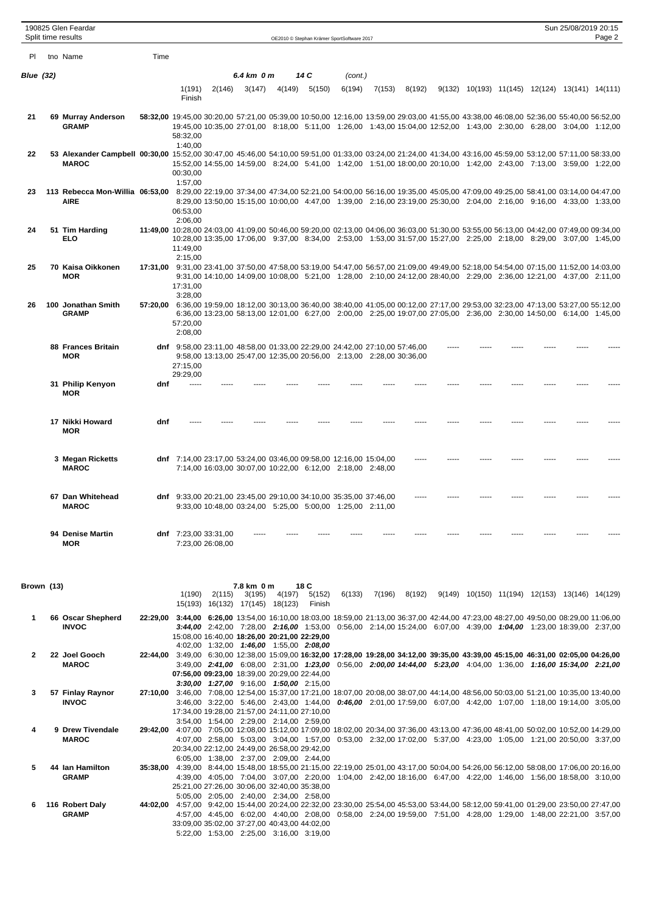|           |                  | 190825 Glen Feardar<br>Split time results                                                                                                                                   |      |                      |                                          |            |        |        | OE2010 @ Stephan Krämer SportSoftware 2017                                                                                                         |        |        |  |  | Sun 25/08/2019 20:15                                                                                                                                                                                                                                           | Page 2 |
|-----------|------------------|-----------------------------------------------------------------------------------------------------------------------------------------------------------------------------|------|----------------------|------------------------------------------|------------|--------|--------|----------------------------------------------------------------------------------------------------------------------------------------------------|--------|--------|--|--|----------------------------------------------------------------------------------------------------------------------------------------------------------------------------------------------------------------------------------------------------------------|--------|
| <b>PI</b> |                  | tno Name                                                                                                                                                                    | Time |                      |                                          |            |        |        |                                                                                                                                                    |        |        |  |  |                                                                                                                                                                                                                                                                |        |
|           | <b>Blue (32)</b> |                                                                                                                                                                             |      |                      |                                          | 6.4 km 0 m |        | 14 C   |                                                                                                                                                    |        |        |  |  |                                                                                                                                                                                                                                                                |        |
|           |                  |                                                                                                                                                                             |      | 1(191)<br>Finish     | 2(146)                                   | 3(147)     | 4(149) | 5(150) | (cont.)<br>6(194)                                                                                                                                  | 7(153) | 8(192) |  |  | 9(132) 10(193) 11(145) 12(124) 13(141) 14(111)                                                                                                                                                                                                                 |        |
| 21        |                  | 69 Murray Anderson<br><b>GRAMP</b>                                                                                                                                          |      | 58:32,00<br>1:40,00  |                                          |            |        |        |                                                                                                                                                    |        |        |  |  | 58:32,00 19:45,00 30:20,00 57:21,00 05:39,00 10:50,00 12:16,00 13:59,00 29:03,00 41:55,00 43:38,00 46:08,00 52:36,00 55:40,00 56:52,00<br>19:45,00 10:35,00 27:01,00 8:18,00 5:11,00 1:26,00 1:43,00 15:04,00 12:52,00 1:43,00 2:30,00 6:28,00 3:04,00 1:12,00 |        |
| 22        |                  | 53,000 57:11,00 58:33,00 53:12,00 57:11,00 58:33,00 54:10,00 59:51,00 01:33,00 03:24,00 21:24,00 43:16,00 43:16,00 45:59,00 53:12,00 57:11,00 58:33,00<br><b>MAROC</b>      |      | 00:30,00<br>1:57.00  |                                          |            |        |        |                                                                                                                                                    |        |        |  |  | 15:52,00 14:55,00 14:59,00 8:24,00 5:41,00 1:42,00 1:51,00 18:00,00 20:10,00 1:42,00 2:43,00 7:13,00 3:59,00 1:22,00                                                                                                                                           |        |
| 23        |                  | 113 Rebecca Mon-Willia 06:53,00 8:29,00 22:19,00 37:34,00 47:34,00 52:21,00 54:00,00 56:16,00 19:35,00 45:05,00 47:09,00 49:25,00 58:41,00 03:14,00 03:14,00<br><b>AIRE</b> |      | 06:53.00<br>2:06.00  |                                          |            |        |        |                                                                                                                                                    |        |        |  |  | 8:29,00 13:50,00 15:15,00 10:00,00 4:47,00 1:39,00 2:16,00 23:19,00 25:30,00 2:04,00 2:16,00 9:16,00 4:33,00 1:33,00                                                                                                                                           |        |
| 24        |                  | 51 Tim Harding<br><b>ELO</b>                                                                                                                                                |      | 11:49.00<br>2:15,00  |                                          |            |        |        |                                                                                                                                                    |        |        |  |  | 11:49,00 10:28,00 24:03,00 41:09,00 50:46,00 59:20,00 02:13,00 04:06,00 36:03,00 51:30,00 53:55,00 56:13,00 04:42,00 07:49,00 09:34,00<br>10:28,00 13:35,00 17:06,00 9:37,00 8:34,00 2:53,00 1:53,00 31:57,00 15:27,00 2:25,00 2:18,00 8:29,00 3:07,00 1:45,00 |        |
| 25        |                  | 70 Kaisa Oikkonen<br><b>MOR</b>                                                                                                                                             |      | 17:31,00<br>3:28,00  |                                          |            |        |        |                                                                                                                                                    |        |        |  |  | 17:31,00 9:31,00 23:41,00 37:50,00 47:58,00 53:19,00 54:47,00 56:57,00 21:09,00 49:49,00 52:18,00 54:54,00 07:15,00 11:52,00 14:03,00<br>9:31,00 14:10,00 14:09,00 10:08,00 5:21,00 1:28,00 2:10,00 24:12,00 28:40,00 2:29,00 2:36,00 12:21,00 4:37,00 2:11,00 |        |
| 26        |                  | 100 Jonathan Smith<br><b>GRAMP</b>                                                                                                                                          |      | 57:20,00<br>2:08,00  |                                          |            |        |        |                                                                                                                                                    |        |        |  |  | 57:20,00 6:36,00 19:59,00 18:12,00 30:13,00 36:40,00 38:40,00 41:05,00 00:12,00 27:17,00 29:53,00 32:23,00 47:13,00 53:27,00 55:12,00<br>6:36,00 13:23,00 58:13,00 12:01,00 6:27,00 2:00,00 2:25,00 19:07,00 27:05,00 2:36,00 2:30,00 14:50,00 6:14,00 1:45,00 |        |
|           |                  | 88 Frances Britain<br><b>MOR</b>                                                                                                                                            |      | 27:15,00<br>29:29,00 |                                          |            |        |        | dnf 9:58,00 23:11,00 48:58,00 01:33,00 22:29,00 24:42,00 27:10,00 57:46,00<br>9:58,00 13:13,00 25:47,00 12:35,00 20:56,00 2:13,00 2:28,00 30:36,00 |        |        |  |  |                                                                                                                                                                                                                                                                |        |
|           |                  | 31 Philip Kenyon<br><b>MOR</b>                                                                                                                                              | dnf  |                      |                                          |            |        |        |                                                                                                                                                    |        |        |  |  |                                                                                                                                                                                                                                                                |        |
|           |                  | 17 Nikki Howard<br><b>MOR</b>                                                                                                                                               | dnf  |                      |                                          |            |        |        |                                                                                                                                                    |        |        |  |  |                                                                                                                                                                                                                                                                |        |
|           |                  | 3 Megan Ricketts<br><b>MAROC</b>                                                                                                                                            |      |                      |                                          |            |        |        | dnf 7:14,00 23:17,00 53:24,00 03:46,00 09:58,00 12:16,00 15:04,00<br>7:14,00 16:03,00 30:07,00 10:22,00 6:12,00 2:18,00 2:48,00                    |        |        |  |  |                                                                                                                                                                                                                                                                |        |
|           |                  | 67 Dan Whitehead<br><b>MAROC</b>                                                                                                                                            |      |                      |                                          |            |        |        | dnf 9:33,00 20:21,00 23:45,00 29:10,00 34:10,00 35:35,00 37:46,00<br>9:33,00 10:48,00 03:24,00 5:25,00 5:00,00 1:25,00 2:11,00                     |        |        |  |  |                                                                                                                                                                                                                                                                |        |
|           |                  | 94 Denise Martin<br><b>MOR</b>                                                                                                                                              |      |                      | dnf 7:23,00 33:31,00<br>7:23,00 26:08,00 |            |        |        |                                                                                                                                                    |        |        |  |  |                                                                                                                                                                                                                                                                |        |

| Brown (13) |                   |          |                                              |         | 7.8 km 0 m |                                                                                                                                        | 18 C   |        |        |        |        |                 |         |                 |
|------------|-------------------|----------|----------------------------------------------|---------|------------|----------------------------------------------------------------------------------------------------------------------------------------|--------|--------|--------|--------|--------|-----------------|---------|-----------------|
|            |                   |          | 1(190)                                       | 2(115)  | 3(195)     | 4(197)                                                                                                                                 | 5(152) | 6(133) | 7(196) | 8(192) | 9(149) | 10(150) 11(194) | 12(153) | 13(146) 14(129) |
|            |                   |          | 15(193)                                      | 16(132) | 17(145)    | 18(123)                                                                                                                                | Finish |        |        |        |        |                 |         |                 |
|            | 66 Oscar Shepherd | 22:29.00 |                                              |         |            | 3:44,00 6:26,00 13:54,00 16:10,00 18:03,00 18:59,00 21:13,00 36:37,00 42:44,00 47:23,00 48:27,00 49:50,00 08:29,00 11:06,00            |        |        |        |        |        |                 |         |                 |
|            | <b>INVOC</b>      |          |                                              |         |            | <b>3:44,00</b> 2:42,00 7:28,00 <b>2:16,00</b> 1:53,00 0:56,00 2:14,00 15:24,00 6:07,00 4:39,00 <b>1:04,00</b> 1:23,00 18:39,00 2:37,00 |        |        |        |        |        |                 |         |                 |
|            |                   |          | 15:08.00 16:40.00 18:26.00 20:21.00 22:29.00 |         |            |                                                                                                                                        |        |        |        |        |        |                 |         |                 |
|            |                   |          |                                              |         |            | 4:02,00 1:32,00 1:46,00 1:55,00 2:08,00                                                                                                |        |        |        |        |        |                 |         |                 |
| 2          | 22 Joel Gooch     | 22:44.00 |                                              |         |            | 3:49,00 6:30,00 12:38,00 15:09,00 16:32,00 17:28,00 19:28,00 34:12,00 39:35,00 43:39,00 45:15,00 46:31,00 02:05,00 04:26,00            |        |        |        |        |        |                 |         |                 |
|            | <b>MAROC</b>      |          |                                              |         |            | 3:49,00 2:41,00 6:08,00 2:31,00 1:23,00 0:56,00 2:00,00 14:44,00 5:23,00 4:04,00 1:36,00 1:16,00 15:34,00 2:21,00                      |        |        |        |        |        |                 |         |                 |
|            |                   |          | 07:56,00 09:23,00 18:39,00 20:29,00 22:44,00 |         |            |                                                                                                                                        |        |        |        |        |        |                 |         |                 |
|            |                   |          |                                              |         |            | <b>3:30.00 1:27.00</b> 9:16.00 1:50.00 2:15.00                                                                                         |        |        |        |        |        |                 |         |                 |
|            | 57 Finlay Raynor  | 27:10.00 | 3:46.00                                      |         |            | 7:08,00 12:54,00 15:37,00 17:21,00 18:07,00 20:08,00 38:07,00 44:14,00 48:56,00 50:03,00 51:21,00 10:35,00 13:40,00                    |        |        |        |        |        |                 |         |                 |
|            | <b>INVOC</b>      |          |                                              |         |            | 3:46.00 3:22.00 5:46.00 2:43.00 1:44.00 0:46.00 2:01.00 17:59.00 6:07.00 4:42.00 1:07.00 1:18.00 19:14.00 3:05.00                      |        |        |        |        |        |                 |         |                 |
|            |                   |          | 17:34.00 19:28.00 21:57.00 24:11.00 27:10.00 |         |            |                                                                                                                                        |        |        |        |        |        |                 |         |                 |
|            |                   |          |                                              |         |            | 3:54.00 1:54.00 2:29.00 2:14.00 2:59.00                                                                                                |        |        |        |        |        |                 |         |                 |
| 4          | 9 Drew Tivendale  | 29:42.00 |                                              |         |            | 4:07,00 7:05,00 12:08,00 15:12,00 17:09,00 18:02,00 20:34,00 37:36,00 43:13,00 47:36,00 48:41,00 50:02,00 10:52,00 14:29,00            |        |        |        |        |        |                 |         |                 |
|            | <b>MAROC</b>      |          |                                              |         |            | 4:07.00 2:58.00 5:03.00 3:04.00 1:57.00 0:53.00 2:32.00 17:02.00 5:37.00 4:23.00 1:05.00 1:21.00 20:50.00 3:37.00                      |        |        |        |        |        |                 |         |                 |
|            |                   |          | 20:34.00 22:12.00 24:49.00 26:58.00 29:42.00 |         |            |                                                                                                                                        |        |        |        |        |        |                 |         |                 |
|            |                   |          |                                              |         |            | 6:05.00 1:38.00 2:37.00 2:09.00 2:44.00                                                                                                |        |        |        |        |        |                 |         |                 |
|            | 44 Ian Hamilton   | 35:38.00 |                                              |         |            | 4:39,00 8:44,00 15:48,00 18:55,00 21:15,00 22:19,00 25:01,00 43:17,00 50:04,00 54:26,00 56:12,00 58:08,00 17:06,00 20:16,00            |        |        |        |        |        |                 |         |                 |
|            | <b>GRAMP</b>      |          |                                              |         |            | 4:39.00 4:05.00 7:04.00 3:07.00 2:20.00 1:04.00 2:42.00 18:16.00 6:47.00 4:22.00 1:46.00 1:56.00 18:58.00 3:10.00                      |        |        |        |        |        |                 |         |                 |
|            |                   |          | 25:21,00 27:26,00 30:06,00 32:40,00 35:38,00 |         |            |                                                                                                                                        |        |        |        |        |        |                 |         |                 |
|            |                   |          |                                              |         |            | 5:05.00 2:05.00 2:40.00 2:34.00 2:58.00                                                                                                |        |        |        |        |        |                 |         |                 |
|            | 116 Robert Daly   | 44:02.00 |                                              |         |            | 4:57,00 9:42,00 15:44,00 20:24,00 22:32,00 23:30,00 25:54,00 45:53,00 53:44,00 58:12,00 59:41,00 01:29,00 23:50,00 27:47,00            |        |        |        |        |        |                 |         |                 |
|            | <b>GRAMP</b>      |          |                                              |         |            | 4:57,00 4:45,00 6:02,00 4:40,00 2:08,00 0:58,00 2:24,00 19:59,00 7:51,00 4:28,00 1:29,00 1:48,00 22:21,00 3:57,00                      |        |        |        |        |        |                 |         |                 |
|            |                   |          | 33:09,00 35:02,00 37:27,00 40:43,00 44:02,00 |         |            |                                                                                                                                        |        |        |        |        |        |                 |         |                 |
|            |                   |          |                                              |         |            | 5:22,00 1:53,00 2:25,00 3:16,00 3:19,00                                                                                                |        |        |        |        |        |                 |         |                 |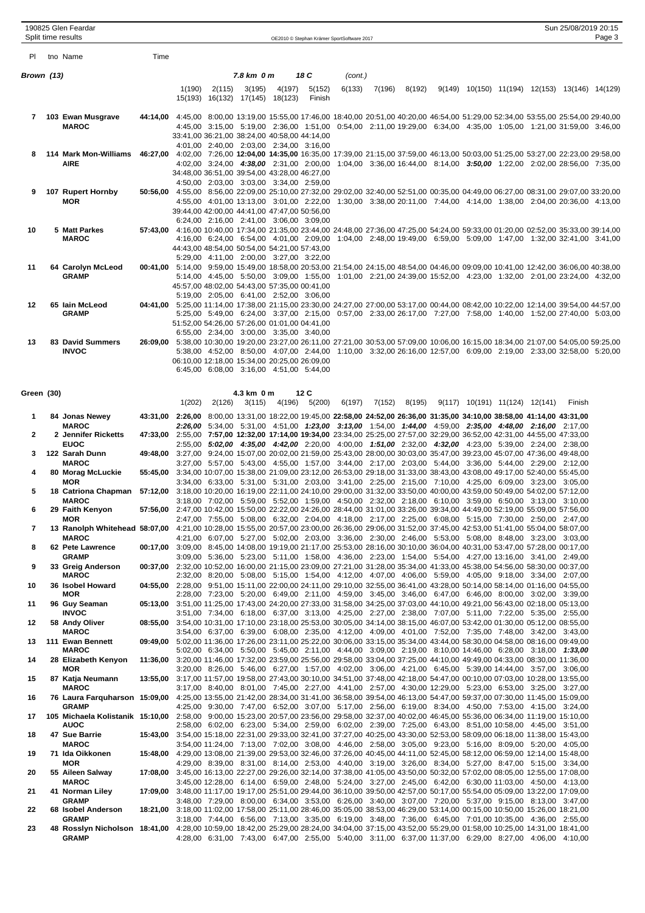|                | 190825 Glen Feardar                                                                                                                                               |                                                                                                                              |        |        |                                                                                         |        |               |                                                                                                                                                                                                                                          |        |        |                                        |  | Sun 25/08/2019 20:15                                                                                                                                                                                                                                        |        |
|----------------|-------------------------------------------------------------------------------------------------------------------------------------------------------------------|------------------------------------------------------------------------------------------------------------------------------|--------|--------|-----------------------------------------------------------------------------------------|--------|---------------|------------------------------------------------------------------------------------------------------------------------------------------------------------------------------------------------------------------------------------------|--------|--------|----------------------------------------|--|-------------------------------------------------------------------------------------------------------------------------------------------------------------------------------------------------------------------------------------------------------------|--------|
|                | Split time results                                                                                                                                                |                                                                                                                              |        |        |                                                                                         |        |               | OE2010 © Stephan Krämer SportSoftware 2017                                                                                                                                                                                               |        |        |                                        |  |                                                                                                                                                                                                                                                             | Page 3 |
| PL             | tno Name                                                                                                                                                          | Time                                                                                                                         |        |        |                                                                                         |        |               |                                                                                                                                                                                                                                          |        |        |                                        |  |                                                                                                                                                                                                                                                             |        |
| Brown (13)     |                                                                                                                                                                   |                                                                                                                              |        |        | 7.8 km 0 m                                                                              |        | 18 C          | (cont.)                                                                                                                                                                                                                                  |        |        |                                        |  |                                                                                                                                                                                                                                                             |        |
|                |                                                                                                                                                                   |                                                                                                                              | 1(190) | 2(115) | 3(195)                                                                                  | 4(197) | 5(152)        | 6(133)                                                                                                                                                                                                                                   | 7(196) | 8(192) |                                        |  | 9(149) 10(150) 11(194) 12(153) 13(146) 14(129)                                                                                                                                                                                                              |        |
|                |                                                                                                                                                                   |                                                                                                                              |        |        | 15(193) 16(132) 17(145) 18(123)                                                         |        | Finish        |                                                                                                                                                                                                                                          |        |        |                                        |  |                                                                                                                                                                                                                                                             |        |
| $\mathbf{7}$   | 103 Ewan Musgrave<br><b>MAROC</b>                                                                                                                                 |                                                                                                                              |        |        |                                                                                         |        |               |                                                                                                                                                                                                                                          |        |        |                                        |  | 44:14,00 4:45,00 8:00,00 13:19,00 15:55,00 17:46,00 18:40,00 20:51,00 40:20,00 46:54,00 51:29,00 52:34,00 53:55,00 25:54,00 29:40,00<br>4:45,00 3:15,00 5:19,00 2:36,00 1:51,00 0:54,00 2:11,00 19:29,00 6:34,00 4:35,00 1:05,00 1:21,00 31:59,00 3:46,00   |        |
|                |                                                                                                                                                                   |                                                                                                                              |        |        | 33:41,00 36:21,00 38:24,00 40:58,00 44:14,00                                            |        |               |                                                                                                                                                                                                                                          |        |        |                                        |  |                                                                                                                                                                                                                                                             |        |
| 8              | 114 Mark Mon-Williams                                                                                                                                             |                                                                                                                              |        |        | 4:01,00 2:40,00 2:03,00 2:34,00 3:16,00                                                 |        |               |                                                                                                                                                                                                                                          |        |        |                                        |  | 46:27,00 4:02,00 7:26,00 12:04,00 14:35,00 16:35,00 17:39,00 21:15,00 37:59,00 46:13,00 50:03,00 51:25,00 53:27,00 22:23,00 29:58,00                                                                                                                        |        |
|                | AIRE                                                                                                                                                              |                                                                                                                              |        |        |                                                                                         |        |               |                                                                                                                                                                                                                                          |        |        |                                        |  | 4:02,00 3:24,00 4:38,00 2:31,00 2:00,00 1:04,00 3:36,00 16:44,00 8:14,00 3:50,00 1:22,00 2:02,00 28:56,00 7:35,00                                                                                                                                           |        |
|                |                                                                                                                                                                   |                                                                                                                              |        |        | 34:48,00 36:51,00 39:54,00 43:28,00 46:27,00<br>4:50,00 2:03,00 3:03,00 3:34,00 2:59,00 |        |               |                                                                                                                                                                                                                                          |        |        |                                        |  |                                                                                                                                                                                                                                                             |        |
| 9              | 107 Rupert Hornby                                                                                                                                                 |                                                                                                                              |        |        |                                                                                         |        |               |                                                                                                                                                                                                                                          |        |        |                                        |  | 50:56,00 4:55,00 8:56,00 22:09,00 25:10,00 27:32,00 29:02,00 32:40,00 52:51,00 00:35,00 04:49,00 06:27,00 08:31,00 29:07,00 33:20,00                                                                                                                        |        |
|                | MOR                                                                                                                                                               |                                                                                                                              |        |        | 39:44,00 42:00,00 44:41,00 47:47,00 50:56,00                                            |        |               |                                                                                                                                                                                                                                          |        |        |                                        |  | 4:55,00 4:01,00 13:13,00 3:01,00 2:22,00 1:30,00 3:38,00 20:11,00 7:44,00 4:14,00 1:38,00 2:04,00 20:36,00 4:13,00                                                                                                                                          |        |
|                |                                                                                                                                                                   |                                                                                                                              |        |        | 6:24,00 2:16,00 2:41,00 3:06,00 3:09,00                                                 |        |               |                                                                                                                                                                                                                                          |        |        |                                        |  |                                                                                                                                                                                                                                                             |        |
| 10             | 5 Matt Parkes<br><b>MAROC</b>                                                                                                                                     |                                                                                                                              |        |        |                                                                                         |        |               |                                                                                                                                                                                                                                          |        |        |                                        |  | 57:43,00 4:16,00 10:40,00 17:34,00 21:35,00 23:44,00 24:48,00 27:36,00 47:25,00 54:24,00 59:33,00 01:20,00 02:52,00 35:33,00 39:14,00<br>4:6.00 6:24.00 6:54.00 4:01.00 2:09.00 1:04.00 2:48.00 19:49.00 6:59.00 5:09.00 1:47.00 1:32.00 32:41.00 3:41.00   |        |
|                |                                                                                                                                                                   |                                                                                                                              |        |        | 44:43,00 48:54,00 50:54,00 54:21,00 57:43,00                                            |        |               |                                                                                                                                                                                                                                          |        |        |                                        |  |                                                                                                                                                                                                                                                             |        |
| 11             | 64 Carolyn McLeod                                                                                                                                                 |                                                                                                                              |        |        | 5:29,00 4:11,00 2:00,00 3:27,00 3:22,00                                                 |        |               |                                                                                                                                                                                                                                          |        |        |                                        |  | 00:41,00 5:14,00 9:59,00 15:49,00 18:58,00 20:53,00 21:54,00 24:15,00 48:54,00 04:46,00 09:09,00 10:41,00 12:42,00 36:06,00 40:38,00                                                                                                                        |        |
|                | <b>GRAMP</b>                                                                                                                                                      |                                                                                                                              |        |        |                                                                                         |        |               |                                                                                                                                                                                                                                          |        |        |                                        |  | 5:14,00 4:45,00 5:50,00 3:09,00 1:55,00 1:01,00 2:21,00 24:39,00 15:52,00 4:23,00 1:32,00 2:01,00 23:24,00 4:32,00                                                                                                                                          |        |
|                |                                                                                                                                                                   |                                                                                                                              |        |        | 45:57,00 48:02,00 54:43,00 57:35,00 00:41,00<br>5:19,00 2:05,00 6:41,00 2:52,00 3:06,00 |        |               |                                                                                                                                                                                                                                          |        |        |                                        |  |                                                                                                                                                                                                                                                             |        |
| 12             | 65 Iain McLeod                                                                                                                                                    |                                                                                                                              |        |        |                                                                                         |        |               |                                                                                                                                                                                                                                          |        |        |                                        |  | 04:41,00 5:25,00 11:14,00 17:38,00 21:15,00 23:30,00 24:27,00 27:00,00 53:17,00 00:44,00 08:42,00 10:22,00 12:14,00 39:54,00 44:57,00                                                                                                                       |        |
|                | <b>GRAMP</b>                                                                                                                                                      |                                                                                                                              |        |        | 51:52,00 54:26,00 57:26,00 01:01,00 04:41,00                                            |        |               |                                                                                                                                                                                                                                          |        |        |                                        |  | 5:25,00 5:49,00 6:24,00 3:37,00 2:15,00 0:57,00 2:33,00 26:17,00 7:27,00 7:58,00 1:40,00 1:52,00 27:40,00 5:03,00                                                                                                                                           |        |
|                |                                                                                                                                                                   |                                                                                                                              |        |        | 6:55,00 2:34,00 3:00,00 3:35,00 3:40,00                                                 |        |               |                                                                                                                                                                                                                                          |        |        |                                        |  |                                                                                                                                                                                                                                                             |        |
| 13             | <b>83 David Summers</b><br><b>INVOC</b>                                                                                                                           |                                                                                                                              |        |        |                                                                                         |        |               |                                                                                                                                                                                                                                          |        |        |                                        |  | 26:09,00 5:38,00 10:30,00 19:20,00 23:27,00 26:11,00 27:21,00 30:53,00 57:09,00 10:06,00 16:15,00 18:34,00 21:07,00 54:05,00 59:25,00<br>5:38,00 4:52,00 8:50,00 4:07,00 2:44,00 1:10,00 3:32,00 26:16,00 12:57,00 6:09,00 2:19,00 2:33,00 32:58,00 5:20,00 |        |
|                |                                                                                                                                                                   |                                                                                                                              |        |        | 06:10,00 12:18,00 15:34,00 20:25,00 26:09,00                                            |        |               |                                                                                                                                                                                                                                          |        |        |                                        |  |                                                                                                                                                                                                                                                             |        |
|                |                                                                                                                                                                   |                                                                                                                              |        |        | 6:45,00 6:08,00 3:16,00 4:51,00 5:44,00                                                 |        |               |                                                                                                                                                                                                                                          |        |        |                                        |  |                                                                                                                                                                                                                                                             |        |
| Green (30)     |                                                                                                                                                                   |                                                                                                                              |        |        | 4.3 km 0 m                                                                              |        | 12C           |                                                                                                                                                                                                                                          |        |        |                                        |  |                                                                                                                                                                                                                                                             |        |
|                |                                                                                                                                                                   |                                                                                                                              | 1(202) | 2(126) | 3(115)                                                                                  |        | 4(196) 5(200) | 6(197)                                                                                                                                                                                                                                   | 7(152) | 8(195) | $9(117)$ $10(191)$ $11(124)$ $12(141)$ |  | Finish                                                                                                                                                                                                                                                      |        |
| 1              | 84 Jonas Newey                                                                                                                                                    |                                                                                                                              |        |        |                                                                                         |        |               | 43:31,00 2:26,00 8:00,00 13:31,00 18:22,00 19:45,00 22:58,00 24:52,00 26:36,00 31:35,00 34:10,00 38:58,00 41:14,00 43:31,00                                                                                                              |        |        |                                        |  |                                                                                                                                                                                                                                                             |        |
| $\mathbf{2}$   | <b>MAROC</b><br>2 Jennifer Ricketts                                                                                                                               |                                                                                                                              |        |        |                                                                                         |        |               | 2:26,00 5:34,00 5:31,00 4:51,00 1:23,00 3:13,00 1:54,00 1:44,00 4:59,00 2:35,00 4:48,00 2:16,00 2:17,00<br>47:33,00 2:55,00 7:57,00 12:32,00 17:14,00 19:34,00 23:34,00 25:25,00 27:57,00 32:29,00 36:52,00 42:31,00 44:55,00 47:33,00   |        |        |                                        |  |                                                                                                                                                                                                                                                             |        |
|                | <b>EUOC</b>                                                                                                                                                       |                                                                                                                              |        |        |                                                                                         |        |               | 2:55,00 5:02,00 4:35,00 4:42,00 2:20,00 4:00,00 1:51,00 2:32,00 4:32,00 4:23,00 5:39,00 2:24,00 2:38,00                                                                                                                                  |        |        |                                        |  |                                                                                                                                                                                                                                                             |        |
| 3              | 122 Sarah Dunn<br><b>MAROC</b>                                                                                                                                    |                                                                                                                              |        |        |                                                                                         |        |               | 49:48,00 3:27,00 9:24,00 15:07,00 20:02,00 21:59,00 25:43,00 28:00,00 30:03,00 35:47,00 39:23,00 45:07,00 47:36,00 49:48,00<br>3:27,00 5:57,00 5:43,00 4:55,00 1:57,00 3:44,00 2:17,00 2:03,00 5:44,00 3:36,00 5:44,00 2:29,00 2:12,00   |        |        |                                        |  |                                                                                                                                                                                                                                                             |        |
| 4              | 80 Morag McLuckie                                                                                                                                                 |                                                                                                                              |        |        |                                                                                         |        |               | 55:45,00 3:34,00 10:07,00 15:38,00 21:09,00 23:12,00 26:53,00 29:18,00 31:33,00 38:43,00 43:08,00 49:17,00 52:40,00 55:45,00                                                                                                             |        |        |                                        |  |                                                                                                                                                                                                                                                             |        |
| 5              | <b>MOR</b><br>18 Catriona Chapman                                                                                                                                 | 57:12,00 3:18,00 10:20,00 16:19,00 22:11,00 24:10,00 29:00,00 31:32,00 33:50,00 40:00,00 43:59,00 50:49,00 54:02,00 57:12,00 |        |        |                                                                                         |        |               | 3:34,00 6:33,00 5:31,00 5:31,00 2:03,00 3:41,00 2:25,00 2:15,00 7:10,00 4:25,00 6:09,00 3:23,00 3:05,00                                                                                                                                  |        |        |                                        |  |                                                                                                                                                                                                                                                             |        |
|                | <b>MAROC</b>                                                                                                                                                      |                                                                                                                              |        |        |                                                                                         |        |               | 3:18,00 7:02,00 5:59,00 5:52,00 1:59,00 4:50,00 2:32,00 2:18,00 6:10,00 3:59,00 6:50,00 3:13,00 3:10,00                                                                                                                                  |        |        |                                        |  |                                                                                                                                                                                                                                                             |        |
|                | 29 Faith Kenyon<br>MOR                                                                                                                                            |                                                                                                                              |        |        |                                                                                         |        |               | 57:56,00 2:47,00 10:42,00 15:50,00 22:22,00 24:26,00 28:44,00 31:01,00 33:26,00 39:34,00 44:49,00 52:19,00 55:09,00 57:56,00<br>2:47,00 7:55,00 5:08,00 6:32,00 2:04,00 4:18,00 2:17,00 2:25,00 6:08,00 5:15,00 7:30,00 2:50,00 2:47,00  |        |        |                                        |  |                                                                                                                                                                                                                                                             |        |
| $\overline{7}$ | 13 Ranolph Whitehead 58:07,00 4:21,00 10:28,00 15:55,00 20:57,00 23:00,00 26:36,00 29:06,00 31:52,00 37:45,00 42:53,00 51:41,00 55:04,00 58:07,00                 |                                                                                                                              |        |        |                                                                                         |        |               |                                                                                                                                                                                                                                          |        |        |                                        |  |                                                                                                                                                                                                                                                             |        |
| 8              | <b>MAROC</b><br>62 Pete Lawrence                                                                                                                                  |                                                                                                                              |        |        |                                                                                         |        |               | 4:21,00 6:07,00 5:27,00 5:02,00 2:03,00 3:36,00 2:30,00 2:46,00 5:53,00 5:08,00 8:48,00 3:23,00 3:03,00<br>00:17,00 3:09,00 8:45,00 14:08,00 19:19,00 21:17,00 25:53,00 28:16,00 30:10,00 36:04,00 40:31,00 53:47,00 57:28,00 00:17,00   |        |        |                                        |  |                                                                                                                                                                                                                                                             |        |
|                | <b>GRAMP</b>                                                                                                                                                      |                                                                                                                              |        |        |                                                                                         |        |               | 3:09,00 5:36,00 5:23,00 5:11,00 1:58,00 4:36,00 2:23,00 1:54,00 5:54,00 4:27,00 13:16,00 3:41,00 2:49,00                                                                                                                                 |        |        |                                        |  |                                                                                                                                                                                                                                                             |        |
| 9              | 33 Greig Anderson<br><b>MAROC</b>                                                                                                                                 |                                                                                                                              |        |        |                                                                                         |        |               | 00:37,00 2:32,00 10:52,00 16:00,00 21:15,00 23:09,00 27:21,00 31:28,00 35:34,00 41:33,00 45:38,00 54:56,00 58:30,00 00:37,00<br>2:32,00 8:20,00 5:08,00 5:15,00 1:54,00 4:12,00 4:07,00 4:06,00 5:59,00 4:05,00 9:18,00 3:34,00 2:07,00  |        |        |                                        |  |                                                                                                                                                                                                                                                             |        |
| 10             | 36 Isobel Howard                                                                                                                                                  |                                                                                                                              |        |        |                                                                                         |        |               | 04:55,00 2:28,00 9:51,00 15:11,00 22:00,00 24:11,00 29:10,00 32:55,00 36:41,00 43:28,00 50:14,00 58:14,00 01:16,00 04:55,00                                                                                                              |        |        |                                        |  |                                                                                                                                                                                                                                                             |        |
| 11             | MOR<br>96 Guy Seaman                                                                                                                                              |                                                                                                                              |        |        |                                                                                         |        |               | 2:28,00 7:23,00 5:20,00 6:49,00 2:11,00 4:59,00 3:45,00 3:46,00 6:47,00 6:46,00 8:00,00 3:02,00 3:39,00<br>05:13.00 3:51.00 11:25.00 17:43.00 24:20.00 27:33.00 31:58.00 34:25.00 37:03.00 44:10.00 49:21.00 56:43.00 02:18.00 05:13.00  |        |        |                                        |  |                                                                                                                                                                                                                                                             |        |
|                | <b>INVOC</b>                                                                                                                                                      |                                                                                                                              |        |        |                                                                                         |        |               | 3:51,00 7:34,00 6:18,00 6:37,00 3:13,00 4:25,00 2:27,00 2:38,00 7:07,00 5:11,00 7:22,00 5:35,00 2:55,00                                                                                                                                  |        |        |                                        |  |                                                                                                                                                                                                                                                             |        |
| 12             | 58 Andy Oliver<br><b>MAROC</b>                                                                                                                                    |                                                                                                                              |        |        |                                                                                         |        |               | 08:55,00 3:54,00 10:31,00 17:10,00 23:18,00 25:53,00 30:05,00 34:14,00 38:15,00 46:07,00 53:42,00 01:30,00 05:12,00 08:55,00<br>3:54,00 6:37,00 6:39,00 6:08,00 2:35,00 4:12,00 4:09,00 4:01,00 7:52,00 7:35,00 7:48,00 3:42,00 3:43,00  |        |        |                                        |  |                                                                                                                                                                                                                                                             |        |
| 13             | 111 Ewan Bennett<br><b>MAROC</b>                                                                                                                                  |                                                                                                                              |        |        |                                                                                         |        |               | 09:49.00 5:02.00 11:36.00 17:26.00 23:11.00 25:22.00 30:06.00 33:15.00 35:34.00 43:44.00 58:30.00 04:58.00 08:16.00 09:49.00<br>5:02,00 6:34,00 5:50,00 5:45,00 2:11,00 4:44,00 3:09,00 2:19,00 8:10,00 14:46,00 6:28,00 3:18,00 1:33,00 |        |        |                                        |  |                                                                                                                                                                                                                                                             |        |
| 14             | 28 Elizabeth Kenyon                                                                                                                                               |                                                                                                                              |        |        |                                                                                         |        |               | 11:36,00 3:20,00 11:46,00 17:32,00 23:59,00 25:56,00 29:58,00 33:04,00 37:25,00 44:10,00 49:49,00 04:33,00 08:30,00 11:36,00                                                                                                             |        |        |                                        |  |                                                                                                                                                                                                                                                             |        |
|                | MOR                                                                                                                                                               |                                                                                                                              |        |        |                                                                                         |        |               | 3:20,00 8:26,00 5:46,00 6:27,00 1:57,00 4:02,00 3:06,00 4:21,00 6:45,00 5:39,00 14:44,00 3:57,00 3:06,00                                                                                                                                 |        |        |                                        |  |                                                                                                                                                                                                                                                             |        |
| 15             | 87 Katja Neumann<br><b>MAROC</b>                                                                                                                                  | 13:55,00                                                                                                                     |        |        |                                                                                         |        |               | 3:17,00 11:57,00 19:58,00 27:43,00 30:10,00 34:51,00 37:48,00 42:18,00 54:47,00 00:10,00 07:03,00 10:28,00 13:55,00<br>3:17,00 8:40,00 8:01,00 7:45,00 2:27,00 4:41,00 2:57,00 4:30,00 12:29,00 5:23,00 6:53,00 3:25,00 3:27,00          |        |        |                                        |  |                                                                                                                                                                                                                                                             |        |
| 16             | 76 Laura Farquharson 15:09,00 4:25,00 13:55,00 21:42,00 28:34,00 31:41,00 36:58,00 39:54,00 46:13,00 54:47,00 59:37,00 07:30,00 11:45,00 15:09,00<br><b>GRAMP</b> |                                                                                                                              |        |        |                                                                                         |        |               |                                                                                                                                                                                                                                          |        |        |                                        |  |                                                                                                                                                                                                                                                             |        |
| 17             | 105 Michaela Kolistanik 15:10,00 2:58,00 9:00,00 15:23,00 20:57,00 23:56,00 29:58,00 32:37,00 40:02,00 46:45,00 55:36,00 06:34,00 11:19,00 15:10,00               |                                                                                                                              |        |        |                                                                                         |        |               | 4:25,00 9:30,00 7:47,00 6:52,00 3:07,00 5:17,00 2:56,00 6:19,00 8:34,00 4:50,00 7:53,00 4:15,00 3:24,00                                                                                                                                  |        |        |                                        |  |                                                                                                                                                                                                                                                             |        |
|                | <b>AUOC</b>                                                                                                                                                       |                                                                                                                              |        |        |                                                                                         |        |               | 2:58,00 6:02,00 6:23,00 5:34,00 2:59,00 6:02,00 2:39,00 7:25,00 6:43,00 8:51,00 10:58,00 4:45,00 3:51,00                                                                                                                                 |        |        |                                        |  |                                                                                                                                                                                                                                                             |        |
| 18             | 47 Sue Barrie<br><b>MAROC</b>                                                                                                                                     |                                                                                                                              |        |        |                                                                                         |        |               | 15:43,00 3:54,00 15:18,00 22:31,00 29:33,00 32:41,00 37:27,00 40:25,00 43:30,00 52:53,00 58:09,00 06:18,00 11:38,00 15:43,00<br>3:54,00 11:24,00 7:13,00 7:02,00 3:08,00 4:46,00 2:58,00 3:05,00 9:23,00 5:16,00 8:09,00 5:20,00 4:05,00 |        |        |                                        |  |                                                                                                                                                                                                                                                             |        |
| 19             | 71 Ida Oikkonen                                                                                                                                                   |                                                                                                                              |        |        |                                                                                         |        |               | 15:48,00 4:29,00 13:08,00 21:39,00 29:53,00 32:46,00 37:26,00 40:45,00 44:11,00 52:45,00 58:12,00 06:59,00 12:14,00 15:48,00                                                                                                             |        |        |                                        |  |                                                                                                                                                                                                                                                             |        |
| 20             | <b>MOR</b><br>55 Aileen Salway                                                                                                                                    |                                                                                                                              |        |        |                                                                                         |        |               | 4:29,00 8:39,00 8:31,00 8:14,00 2:53,00 4:40,00 3:19,00 3:26,00 8:34,00 5:27,00 8:47,00 5:15,00 3:34,00<br>17:08,00 3:45,00 16:13,00 22:27,00 29:26,00 32:14,00 37:38,00 41:05,00 43:50,00 50:32,00 57:02,00 08:05,00 12:55,00 17:08,00  |        |        |                                        |  |                                                                                                                                                                                                                                                             |        |
|                | <b>MAROC</b>                                                                                                                                                      |                                                                                                                              |        |        |                                                                                         |        |               | 3:45,00 12:28,00 6:14,00 6:59,00 2:48,00 5:24,00 3:27,00 2:45,00 6:42,00 6:30,00 11:03,00 4:50,00 4:13,00                                                                                                                                |        |        |                                        |  |                                                                                                                                                                                                                                                             |        |
| 21             | 41 Norman Liley                                                                                                                                                   |                                                                                                                              |        |        |                                                                                         |        |               | 17:09,00 3:48,00 11:17,00 19:17,00 25:51,00 29:44,00 36:10,00 39:50,00 42:57,00 50:17,00 55:54,00 05:09,00 13:22,00 17:09,00                                                                                                             |        |        |                                        |  |                                                                                                                                                                                                                                                             |        |

GRAMP 3:48,00 7:29,00 8:00,00 6:34,00 3:53,00 6:26,00 3:40,00 3:07,00 7:20,00 6:37,00 9:15,00 8:13,00 3:47,00<br>68 Isobel Anderson 18:21,00 3:18,00 11:02,00 17:58,00 25:11,00 28:46,00 35:05,00 38:53,00 46:29,00 53:14,00 00:1 **22 68 Isobel Anderson 18:21,00** 3:18,00 11:02,00 17:58,00 25:11,00 28:46,00 35:05,00 38:53,00 46:29,00 53:14,00 00:15,00 10:50,00 15:26,00 18:21,00

**431,00** 4:28,00 10:59,00 18:42,00 25:29,00 28:24,00 34:04,00 37:15,00 43:52,00 55:29,00 01:58,00 10:25,00 18:41,00<br>**25:29,00 55:29,00 55:29,00 55:29,00 55:29,00 55:29,00 6:47,00 6:47,00 6:47,00 5:40,00 37:15,00 4:37.00 11** 

**GRAMP** 3:18,00 7:44,00 6:56,00 7:13,00 3:35,00 6:19,00 3:48,00 7:36,00 6:45,00 7:01,00 10:35,00 4:36,00 2:55,00

**GRAMP** 4:28,00 6:31,00 7:43,00 6:47,00 2:55,00 5:40,00 3:11,00 6:37,00 11:37,00 6:29,00 8:27,00 4:06,00 4:10,00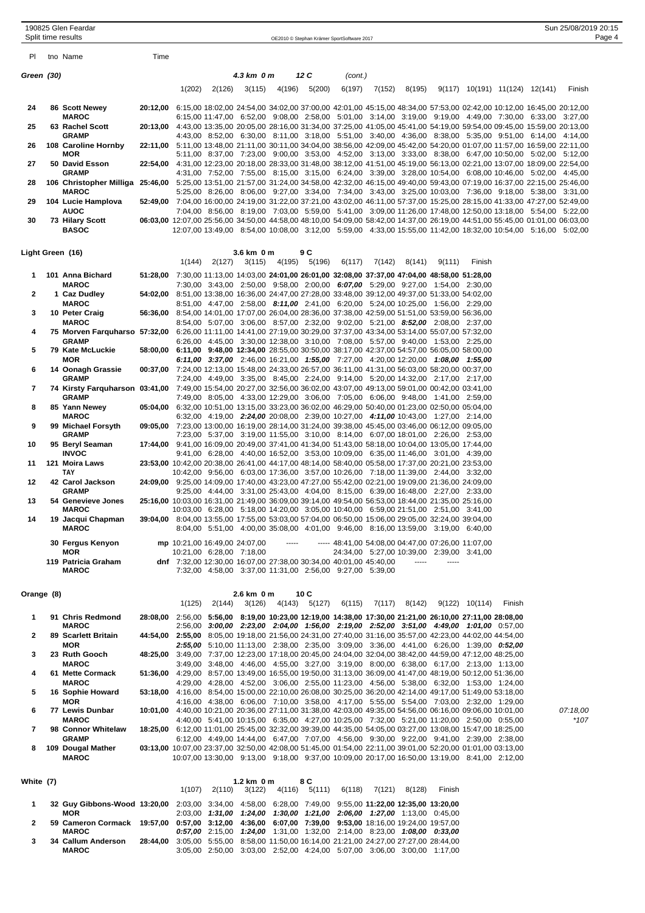|                  | 190825 Glen Feardar<br>Split time results                                                                                                                            |      |                                                                                                                               |        |                      |       |                       | OE2010 © Stephan Krämer SportSoftware 2017                                                                     |        |          |                                               |        |                                        | Sun 25/08/2019 20:15 | Page 4 |
|------------------|----------------------------------------------------------------------------------------------------------------------------------------------------------------------|------|-------------------------------------------------------------------------------------------------------------------------------|--------|----------------------|-------|-----------------------|----------------------------------------------------------------------------------------------------------------|--------|----------|-----------------------------------------------|--------|----------------------------------------|----------------------|--------|
| PI.              | tno Name                                                                                                                                                             | Time |                                                                                                                               |        |                      |       |                       |                                                                                                                |        |          |                                               |        |                                        |                      |        |
|                  |                                                                                                                                                                      |      |                                                                                                                               |        | 4.3 km 0 m           |       | 12 C                  |                                                                                                                |        |          |                                               |        |                                        |                      |        |
| Green (30)       |                                                                                                                                                                      |      |                                                                                                                               |        |                      |       |                       | (cont.)                                                                                                        |        |          |                                               |        |                                        |                      |        |
|                  |                                                                                                                                                                      |      | 1(202)                                                                                                                        | 2(126) | 3(115)               |       | 4(196) 5(200)         | 6(197)                                                                                                         | 7(152) | 8(195)   |                                               |        | $9(117)$ $10(191)$ $11(124)$ $12(141)$ | Finish               |        |
| 24               | 86 Scott Newey<br><b>MAROC</b>                                                                                                                                       |      | 20:12,00 6:15,00 18:02,00 24:54,00 34:02,00 37:00,00 42:01,00 45:15,00 48:34,00 57:53,00 02:42,00 10:12,00 16:45,00 20:12,00  |        |                      |       |                       | 6:15,00 11:47,00 6:52,00 9:08,00 2:58,00 5:01,00 3:14,00 3:19,00 9:19,00 4:49,00 7:30,00 6:33,00 3:27,00       |        |          |                                               |        |                                        |                      |        |
| 25               | 63 Rachel Scott                                                                                                                                                      |      | 20:13,00 4:43,00 13:35,00 20:05,00 28:16,00 31:34,00 37:25,00 41:05,00 45:41,00 54:19,00 59:54,00 09:45,00 15:59,00 20:13,00  |        |                      |       |                       |                                                                                                                |        |          |                                               |        |                                        |                      |        |
| 26               | <b>GRAMP</b><br>108 Caroline Hornby                                                                                                                                  |      | 22:11,00 5:11,00 13:48,00 21:11,00 30:11,00 34:04,00 38:56,00 42:09,00 45:42,00 54:20,00 01:07,00 11:57,00 16:59,00 22:11,00  |        |                      |       |                       | 4:43,00 8:52,00 6:30,00 8:11,00 3:18,00 5:51,00 3:40,00 4:36,00 8:38,00 5:35,00 9:51,00 6:14,00 4:14,00        |        |          |                                               |        |                                        |                      |        |
| 27               | MOR<br>50 David Esson                                                                                                                                                |      | 22:54,00 4:31,00 12:23,00 20:18,00 28:33,00 31:48,00 38:12,00 41:51,00 45:19,00 56:13,00 02:21,00 13:07,00 18:09,00 22:54,00  |        |                      |       |                       | 5:11,00 8:37,00 7:23,00 9:00,00 3:53,00 4:52,00 3:13,00 3:33,00 8:38,00 6:47,00 10:50,00 5:02,00 5:12,00       |        |          |                                               |        |                                        |                      |        |
| 28               | <b>GRAMP</b><br>106 Christopher Milliga 25:46,00 5:25,00 13:51,00 21:57,00 31:24,00 34:58,00 42:32,00 46:15,00 49:40,00 59:43,00 07:19,00 16:37,00 22:15,00 25:46,00 |      |                                                                                                                               |        |                      |       |                       | 4:31,00 7:52,00 7:55,00 8:15,00 3:15,00 6:24,00 3:39,00 3:28,00 10:54,00 6:08,00 10:46,00 5:02,00 4:45,00      |        |          |                                               |        |                                        |                      |        |
|                  | <b>MAROC</b>                                                                                                                                                         |      | 52:49,00 7:04,00 16:00,00 24:19,00 31:22,00 37:21,00 43:02,00 46:11,00 57:37,00 15:25,00 28:15,00 41:33,00 47:27,00 52:49,00  |        |                      |       |                       | 5:25,00 8:26,00 8:06,00 9:27,00 3:34,00 7:34,00 3:43,00 3:25,00 10:03,00 7:36,00 9:18,00 5:38,00 3:31,00       |        |          |                                               |        |                                        |                      |        |
| 29               | 104 Lucie Hamplova<br><b>AUOC</b>                                                                                                                                    |      |                                                                                                                               |        |                      |       |                       | 7:04,00 8:56,00 8:19,00 7:03,00 5:59,00 5:41,00 3:09,00 11:26,00 17:48,00 12:50,00 13:18,00 5:54,00 5:22,00    |        |          |                                               |        |                                        |                      |        |
| 30               | 73 Hilary Scott<br><b>BASOC</b>                                                                                                                                      |      | 06:03,00 12:07,00 25:56,00 34:50,00 44:58,00 48:10,00 54:09,00 58:42,00 14:37,00 26:19,00 44:51,00 55:45,00 01:01,00 06:03,00 |        |                      |       |                       | 12:07,00 13:49,00 8:54,00 10:08,00 3:12,00 5:59,00 4:33,00 15:55,00 11:42,00 18:32,00 10:54,00 5:16,00 5:02,00 |        |          |                                               |        |                                        |                      |        |
|                  |                                                                                                                                                                      |      |                                                                                                                               |        |                      |       |                       |                                                                                                                |        |          |                                               |        |                                        |                      |        |
| Light Green (16) |                                                                                                                                                                      |      | 1(144)                                                                                                                        | 2(127) | 3.6 km 0 m<br>3(115) |       | 9 C<br>4(195) 5(196)  | 6(117)                                                                                                         | 7(142) | 8(141)   | 9(111)                                        | Finish |                                        |                      |        |
| 1.               | 101 Anna Bichard<br><b>MAROC</b>                                                                                                                                     |      | 51:28,00 7:30,00 11:13,00 14:03,00 24:01,00 26:01,00 32:08,00 37:37,00 47:04,00 48:58,00 51:28,00                             |        |                      |       |                       | 7:30,00 3:43,00 2:50,00 9:58,00 2:00,00 6:07,00 5:29,00 9:27,00 1:54,00 2:30,00                                |        |          |                                               |        |                                        |                      |        |
| 2                | 1 Caz Dudley                                                                                                                                                         |      | 54:02,00 8:51,00 13:38,00 16:36,00 24:47,00 27:28,00 33:48,00 39:12,00 49:37,00 51:33,00 54:02,00                             |        |                      |       |                       |                                                                                                                |        |          |                                               |        |                                        |                      |        |
| 3                | <b>MAROC</b><br>10 Peter Craig                                                                                                                                       |      | 56:36,00 8:54,00 14:01,00 17:07,00 26:04,00 28:36,00 37:38,00 42:59,00 51:51,00 53:59,00 56:36,00                             |        |                      |       |                       | 8:51,00 4:47,00 2:58,00 8:11,00 2:41,00 6:20,00 5:24,00 10:25,00 1:56,00 2:29,00                               |        |          |                                               |        |                                        |                      |        |
| 4                | <b>MAROC</b><br>75 Morven Farquharso 57:32,00 6:26,00 11:11,00 14:41,00 27:19,00 30:29,00 37:37,00 43:34,00 53:14,00 55:07,00 57:32,00                               |      |                                                                                                                               |        |                      |       |                       | 8:54,00 5:07,00 3:06,00 8:57,00 2:32,00 9:02,00 5:21,00 8:52,00 2:08,00 2:37,00                                |        |          |                                               |        |                                        |                      |        |
| 5                | <b>GRAMP</b><br>79 Kate McLuckie                                                                                                                                     |      | 58:00,00 6:11,00 9:48,00 12:34,00 28:55,00 30:50,00 38:17,00 42:37,00 54:57,00 56:05,00 58:00,00                              |        |                      |       |                       | 6:26,00 4:45,00 3:30,00 12:38,00 3:10,00 7:08,00 5:57,00 9:40,00 1:53,00 2:25,00                               |        |          |                                               |        |                                        |                      |        |
|                  | <b>MOR</b>                                                                                                                                                           |      |                                                                                                                               |        |                      |       |                       | 6:11,00 3:37,00 2:46,00 16:21,00 1:55,00 7:27,00 4:20,00 12:20,00 1:08,00 1:55,00                              |        |          |                                               |        |                                        |                      |        |
| 6                | 14 Oonagh Grassie<br><b>GRAMP</b>                                                                                                                                    |      | 00:37,00 7:24,00 12:13,00 15:48,00 24:33,00 26:57,00 36:11,00 41:31,00 56:03,00 58:20,00 00:37,00                             |        |                      |       |                       | 7:24,00 4:49,00 3:35,00 8:45,00 2:24,00 9:14,00 5:20,00 14:32,00 2:17,00 2:17,00                               |        |          |                                               |        |                                        |                      |        |
| 7                | 74 Kirsty Farquharson 03:41,00 7:49,00 15:54,00 20:27,00 32:56,00 36:02,00 43:07,00 49:13,00 59:01,00 00:42,00 03:41,00<br>GRAMP                                     |      |                                                                                                                               |        |                      |       |                       | 7:49,00 8:05,00 4:33,00 12:29,00 3:06,00 7:05,00 6:06,00 9:48,00 1:41,00 2:59,00                               |        |          |                                               |        |                                        |                      |        |
| 8                | 85 Yann Newey<br><b>MAROC</b>                                                                                                                                        |      | 05:04,00 6:32,00 10:51,00 13:15,00 33:23,00 36:02,00 46:29,00 50:40,00 01:23,00 02:50,00 05:04,00                             |        |                      |       |                       | 6:32,00 4:19,00 2:24,00 20:08,00 2:39,00 10:27,00 4:11,00 10:43,00 1:27,00 2:14,00                             |        |          |                                               |        |                                        |                      |        |
| 9                | 99 Michael Forsyth<br>GRAMP                                                                                                                                          |      | 09:05,00 7:23,00 13:00,00 16:19,00 28:14,00 31:24,00 39:38,00 45:45,00 03:46,00 06:12,00 09:05,00                             |        |                      |       |                       | 7:23,00 5:37,00 3:19,00 11:55,00 3:10,00 8:14,00 6:07,00 18:01,00 2:26,00 2:53,00                              |        |          |                                               |        |                                        |                      |        |
| 10               | 95 Beryl Seaman<br><b>INVOC</b>                                                                                                                                      |      | 17:44,00 9:41,00 16:09,00 20:49,00 37:41,00 41:34,00 51:43,00 58:18,00 10:04,00 13:05,00 17:44,00                             |        |                      |       |                       | 9:41,00 6:28,00 4:40,00 16:52,00 3:53,00 10:09,00 6:35,00 11:46,00 3:01,00 4:39,00                             |        |          |                                               |        |                                        |                      |        |
| 11               | 121 Moira Laws                                                                                                                                                       |      | 23:53,00 10:42,00 20:38,00 26:41,00 44:17,00 48:14,00 58:40,00 05:58,00 17:37,00 20:21,00 23:53,00                            |        |                      |       |                       |                                                                                                                |        |          |                                               |        |                                        |                      |        |
| 12               | <b>TAY</b><br>42 Carol Jackson                                                                                                                                       |      | 24:09,00 9:25,00 14:09,00 17:40,00 43:23,00 47:27,00 55:42,00 02:21,00 19:09,00 21:36,00 24:09,00                             |        |                      |       |                       | 10:42,00 9:56,00 6:03,00 17:36,00 3:57,00 10:26,00 7:18,00 11:39,00 2:44,00 3:32,00                            |        |          |                                               |        |                                        |                      |        |
| 13               | <b>GRAMP</b><br>54 Genevieve Jones                                                                                                                                   |      | 25:16,00 10:03,00 16:31,00 21:49,00 36:09,00 39:14,00 49:54,00 56:53,00 18:44,00 21:35,00 25:16,00                            |        |                      |       |                       | 9:25,00 4:44,00 3:31,00 25:43,00 4:04,00 8:15,00 6:39,00 16:48,00 2:27,00 2:33,00                              |        |          |                                               |        |                                        |                      |        |
| 14               | <b>MAROC</b><br>19 Jacqui Chapman                                                                                                                                    |      | 39:04,00 8:04,00 13:55,00 17:55,00 53:03,00 57:04,00 06:50,00 15:06,00 29:05,00 32:24,00 39:04,00                             |        |                      |       |                       | 10:03,00 6:28,00 5:18,00 14:20,00 3:05,00 10:40,00 6:59,00 21:51,00 2:51,00 3:41,00                            |        |          |                                               |        |                                        |                      |        |
|                  | <b>MAROC</b>                                                                                                                                                         |      |                                                                                                                               |        |                      |       |                       | 8:04,00 5:51,00 4:00,00 35:08,00 4:01,00 9:46,00 8:16,00 13:59,00 3:19,00 6:40,00                              |        |          |                                               |        |                                        |                      |        |
|                  | 30 Fergus Kenyon<br>MOR                                                                                                                                              |      | mp 10:21,00 16:49,00 24:07,00<br>10:21,00 6:28,00 7:18,00                                                                     |        |                      | ----- |                       | ----- 48:41,00 54:08,00 04:47,00 07:26,00 11:07,00                                                             |        |          | 24:34,00 5:27,00 10:39,00 2:39,00 3:41,00     |        |                                        |                      |        |
|                  | 119 Patricia Graham<br><b>MAROC</b>                                                                                                                                  |      | dnf 7:32,00 12:30,00 16:07,00 27:38,00 30:34,00 40:01,00 45:40,00                                                             |        |                      |       |                       | 7:32,00 4:58,00 3:37,00 11:31,00 2:56,00 9:27,00 5:39,00                                                       |        | $\cdots$ |                                               |        |                                        |                      |        |
|                  |                                                                                                                                                                      |      |                                                                                                                               |        |                      |       |                       |                                                                                                                |        |          |                                               |        |                                        |                      |        |
| Orange (8)       |                                                                                                                                                                      |      | 1(125)                                                                                                                        | 2(144) | 2.6 km 0 m<br>3(126) |       | 10 C<br>4(143) 5(127) |                                                                                                                |        |          | $6(115)$ $7(117)$ $8(142)$ $9(122)$ $10(114)$ |        | Finish                                 |                      |        |
| 1.               | 91 Chris Redmond                                                                                                                                                     |      | 28:08,00 2:56,00 5:56,00 8:19,00 10:23,00 12:19,00 14:38,00 17:30,00 21:21,00 26:10,00 27:11,00 28:08,00                      |        |                      |       |                       |                                                                                                                |        |          |                                               |        |                                        |                      |        |
| 2                | <b>MAROC</b><br>89 Scarlett Britain                                                                                                                                  |      | 44:54,00 2:55,00 8:05,00 19:18,00 21:56,00 24:31,00 27:40,00 31:16,00 35:57,00 42:23,00 44:02,00 44:54,00                     |        |                      |       |                       | 2:56,00 <b>3:00,00 2:23,00 2:04,00 1:56,00 2:19,00 2:52,00 3:51,00 4:49,00 1:01,00</b> 0:57,00                 |        |          |                                               |        |                                        |                      |        |
| 3                | MOR<br>23 Ruth Gooch                                                                                                                                                 |      | 48:25,00 3:49,00 7:37,00 12:23,00 17:18,00 20:45,00 24:04,00 32:04,00 38:42,00 44:59,00 47:12,00 48:25,00                     |        |                      |       |                       | <b>2:55,00</b> 5:10,00 11:13,00 2:38,00 2:35,00 3:09,00 3:36,00 4:41,00 6:26,00 1:39,00 0:52,00                |        |          |                                               |        |                                        |                      |        |
|                  | <b>MAROC</b>                                                                                                                                                         |      |                                                                                                                               |        |                      |       |                       | 3:49,00 3:48,00 4:46,00 4:55,00 3:27,00 3:19,00 8:00,00 6:38,00 6:17,00 2:13,00 1:13,00                        |        |          |                                               |        |                                        |                      |        |
| 4                | 61 Mette Cormack<br><b>MAROC</b>                                                                                                                                     |      | 51:36,00 4:29,00 8:57,00 13:49,00 16:55,00 19:50,00 31:13,00 36:09,00 41:47,00 48:19,00 50:12,00 51:36,00                     |        |                      |       |                       | 4:29,00 4:28,00 4:52,00 3:06,00 2:55,00 11:23,00 4:56,00 5:38,00 6:32,00 1:53,00 1:24,00                       |        |          |                                               |        |                                        |                      |        |
| 5                | 16 Sophie Howard<br>MOR                                                                                                                                              |      | 53:18,00 4:16,00 8:54,00 15:00,00 22:10,00 26:08,00 30:25,00 36:20,00 42:14,00 49:17,00 51:49,00 53:18,00                     |        |                      |       |                       | 4:16,00 4:38,00 6:06,00 7:10,00 3:58,00 4:17,00 5:55,00 5:54,00 7:03,00 2:32,00 1:29,00                        |        |          |                                               |        |                                        |                      |        |
| 6                | 77 Lewis Dunbar<br><b>MAROC</b>                                                                                                                                      |      | 10:01,00 4:40,00 10:21,00 20:36,00 27:11,00 31:38,00 42:03,00 49:35,00 54:56,00 06:16,00 09:06,00 10:01,00                    |        |                      |       |                       | 4:40,00 5:41,00 10:15,00 6:35,00 4:27,00 10:25,00 7:32,00 5:21,00 11:20,00 2:50,00 0:55,00                     |        |          |                                               |        |                                        | 07:18,00<br>$*107$   |        |
| 7                | 98 Connor Whitelaw                                                                                                                                                   |      | 18:25,00 6:12,00 11:01,00 25:45,00 32:32,00 39:39,00 44:35,00 54:05,00 03:27,00 13:08,00 15:47,00 18:25,00                    |        |                      |       |                       |                                                                                                                |        |          |                                               |        |                                        |                      |        |
|                  | <b>GRAMP</b>                                                                                                                                                         |      |                                                                                                                               |        |                      |       |                       | 6:12,00 4:49,00 14:44,00 6:47,00 7:07,00 4:56,00 9:30,00 9:22,00 9:41,00 2:39,00 2:38,00                       |        |          |                                               |        |                                        |                      |        |

| White (7) |                                                                                                         |          |        | $1.2 \text{ km}$ 0 m | 8 C    |        |                                                                               |        |        |        |  |
|-----------|---------------------------------------------------------------------------------------------------------|----------|--------|----------------------|--------|--------|-------------------------------------------------------------------------------|--------|--------|--------|--|
|           |                                                                                                         |          | 1(107) | $2(110)$ $3(122)$    | 4(116) | 5(111) | 6(118)                                                                        | 7(121) | 8(128) | Finish |  |
|           | 32 Guy Gibbons-Wood 13:20,00 2:03,00 3:34,00 4:58,00 6:28,00 7:49,00 9:55,00 11:22,00 12:35,00 13:20,00 |          |        |                      |        |        |                                                                               |        |        |        |  |
|           | <b>MOR</b>                                                                                              |          |        |                      |        |        | 2:03.00 1:31.00 1:24.00 1:30.00 1:21.00 2:06.00 1:27.00 1:13.00 0:45.00       |        |        |        |  |
| 2         | 59 Cameron Cormack 19:57,00 0:57,00 3:12,00 4:36,00 6:07,00 7:39,00 9:53,00 18:16,00 19:24,00 19:57,00  |          |        |                      |        |        |                                                                               |        |        |        |  |
|           | <b>MAROC</b>                                                                                            |          |        |                      |        |        | $0.57,00$ 2:15,00 1:24,00 1:31,00 1:32,00 2:14,00 8:23,00 1:08,00 0:33,00     |        |        |        |  |
| 3         | 34 Callum Anderson                                                                                      | 28:44.00 |        |                      |        |        | 3:05.00 5:55.00 8:58.00 11:50.00 16:14.00 21:21.00 24:27.00 27:27.00 28:44.00 |        |        |        |  |
|           | <b>MAROC</b>                                                                                            |          |        |                      |        |        | 3:05.00 2:50.00 3:03.00 2:52.00 4:24.00 5:07.00 3:06.00 3:00.00 1:17.00       |        |        |        |  |

**GRAMP** 6:12,00 4:49,00 14:44,00 6:47,00 7:07,00 4:56,00 9:30,00 9:22,00 9:41,00 2:39,00 2:38,00 **8 109 Dougal Mather 03:13,00** 10:07,00 23:37,00 32:50,00 42:08,00 51:45,00 01:54,00 22:11,00 39:01,00 52:20,00 01:01,00 03:13,00 **MAROC** 10:07,00 13:30,00 9:13,00 9:18,00 9:37,00 10:09,00 20:17,00 16:50,00 13:19,00 8:41,00 2:12,00